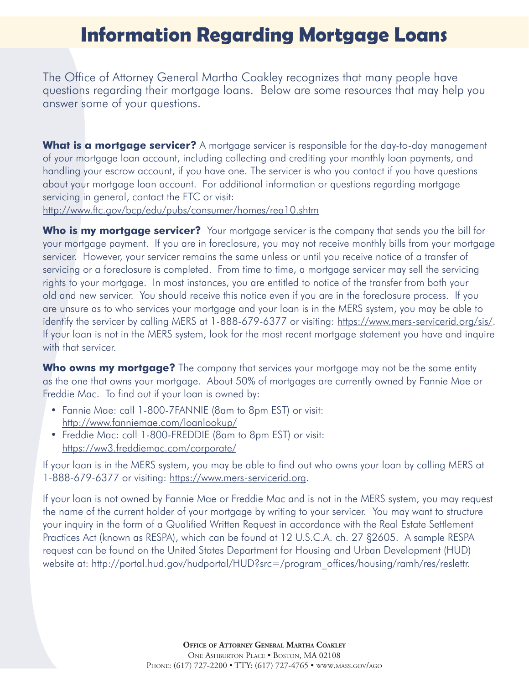## **Information Regarding Mortgage Loans**

The Office of Attorney General Martha Coakley recognizes that many people have questions regarding their mortgage loans. Below are some resources that may help you answer some of your questions.

**What is a mortgage servicer?** A mortgage servicer is responsible for the day-to-day management of your mortgage loan account, including collecting and crediting your monthly loan payments, and handling your escrow account, if you have one. The servicer is who you contact if you have questions about your mortgage loan account. For additional information or questions regarding mortgage servicing in general, contact the FTC or visit:

<http://www.ftc.gov/bcp/edu/pubs/consumer/homes/rea10.shtm>

**Who is my mortgage servicer?** Your mortgage servicer is the company that sends you the bill for your mortgage payment. If you are in foreclosure, you may not receive monthly bills from your mortgage servicer. However, your servicer remains the same unless or until you receive notice of a transfer of servicing or a foreclosure is completed. From time to time, a mortgage servicer may sell the servicing rights to your mortgage. In most instances, you are entitled to notice of the transfer from both your old and new servicer. You should receive this notice even if you are in the foreclosure process. If you are unsure as to who services your mortgage and your loan is in the MERS system, you may be able to identify the servicer by calling MERS at 1-888-679-6377 or visiting: <https://www.mers-servicerid.org/sis/>. If your loan is not in the MERS system, look for the most recent mortgage statement you have and inquire with that servicer.

**Who owns my mortgage?** The company that services your mortgage may not be the same entity as the one that owns your mortgage. About 50% of mortgages are currently owned by Fannie Mae or Freddie Mac. To find out if your loan is owned by:

- Fannie Mae: call 1-800-7FANNIE (8am to 8pm EST) or visit: <http://www.fanniemae.com/loanlookup/>
- Freddie Mac: call 1-800-FREDDIE (8am to 8pm EST) or visit: [https://ww3.freddiemac.com/corporate/](http://www.fanniemae.com/loanlookup/)

If your loan is in the MERS system, you may be able to find out who owns your loan by calling MERS at 1-888-679-6377 or visiting:<https://www.mers-servicerid.org>.

If your loan is not owned by Fannie Mae or Freddie Mac and is not in the MERS system, you may request the name of the current holder of your mortgage by writing to your servicer. You may want to structure your inquiry in the form of a Qualified Written Request in accordance with the Real Estate Settlement Practices Act (known as RESPA), which can be found at 12 U.S.C.A. ch. 27 §2605. A sample RESPA request can be found on the United States Department for Housing and Urban Development (HUD) website at: [http://portal.hud.gov/hudportal/HUD?src=/program\\_offices/housing/ramh/res/reslettr](http://portal.hud.gov/hudportal/HUD?src=/program_offices/housing/ramh/res/reslettr).